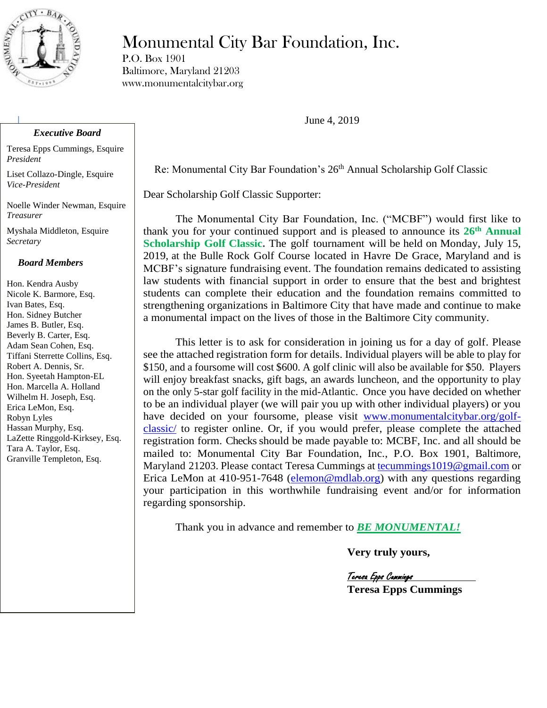

# Monumental City Bar Foundation, Inc.

P.O. Box 1901 Baltimore, Maryland 21203 www.monumentalcitybar.org

June 4, 2019

Re: Monumental City Bar Foundation's 26<sup>th</sup> Annual Scholarship Golf Classic

Dear Scholarship Golf Classic Supporter:

The Monumental City Bar Foundation, Inc. ("MCBF") would first like to thank you for your continued support and is pleased to announce its **26 th Annual Scholarship Golf Classic.** The golf tournament will be held on Monday, July 15, 2019, at the Bulle Rock Golf Course located in Havre De Grace, Maryland and is MCBF's signature fundraising event. The foundation remains dedicated to assisting law students with financial support in order to ensure that the best and brightest students can complete their education and the foundation remains committed to strengthening organizations in Baltimore City that have made and continue to make a monumental impact on the lives of those in the Baltimore City community.

This letter is to ask for consideration in joining us for a day of golf. Please see the attached registration form for details. Individual players will be able to play for \$150, and a foursome will cost \$600. A golf clinic will also be available for \$50. Players will enjoy breakfast snacks, gift bags, an awards luncheon, and the opportunity to play on the only 5-star golf facility in the mid-Atlantic. Once you have decided on whether to be an individual player (we will pair you up with other individual players) or you have decided on your foursome, please visit [www.monumentalcitybar.org/golf](http://www.monumentalcitybar.org/golf-classic/)[classic/](http://www.monumentalcitybar.org/golf-classic/) to register online. Or, if you would prefer, please complete the attached registration form. Checks should be made payable to: MCBF, Inc. and all should be mailed to: Monumental City Bar Foundation, Inc., P.O. Box 1901, Baltimore, Maryland 21203. Please contact Teresa Cummings a[t tecummings1019@gmail.com](mailto:tecummings1019@gmail.com) or Erica LeMon at 410-951-7648 [\(elemon@mdlab.org\)](mailto:elemon@mdlab.org) with any questions regarding your participation in this worthwhile fundraising event and/or for information regarding sponsorship.

Thank you in advance and remember to *BE MONUMENTAL!*

**Very truly yours,**

Teresa Epps Cummings **Teresa Epps Cummings**

### *Executive Board*

Teresa Epps Cummings, Esquire *President*

Liset Collazo-Dingle, Esquire *Vice-President* 

Noelle Winder Newman, Esquire *Treasurer*

Myshala Middleton, Esquire *Secretary*

#### *Board Members*

Hon. Kendra Ausby Nicole K. Barmore, Esq. Ivan Bates, Esq. Hon. Sidney Butcher James B. Butler, Esq. Beverly B. Carter, Esq. Adam Sean Cohen, Esq. Tiffani Sterrette Collins, Esq. Robert A. Dennis, Sr. Hon. Syeetah Hampton-EL Hon. Marcella A. Holland Wilhelm H. Joseph, Esq. Erica LeMon, Esq. Robyn Lyles Hassan Murphy, Esq. LaZette Ringgold-Kirksey, Esq. Tara A. Taylor, Esq. Granville Templeton, Esq.